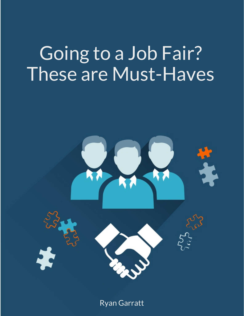# Going to a Job Fair? These are Must-Haves



Ryan Garratt